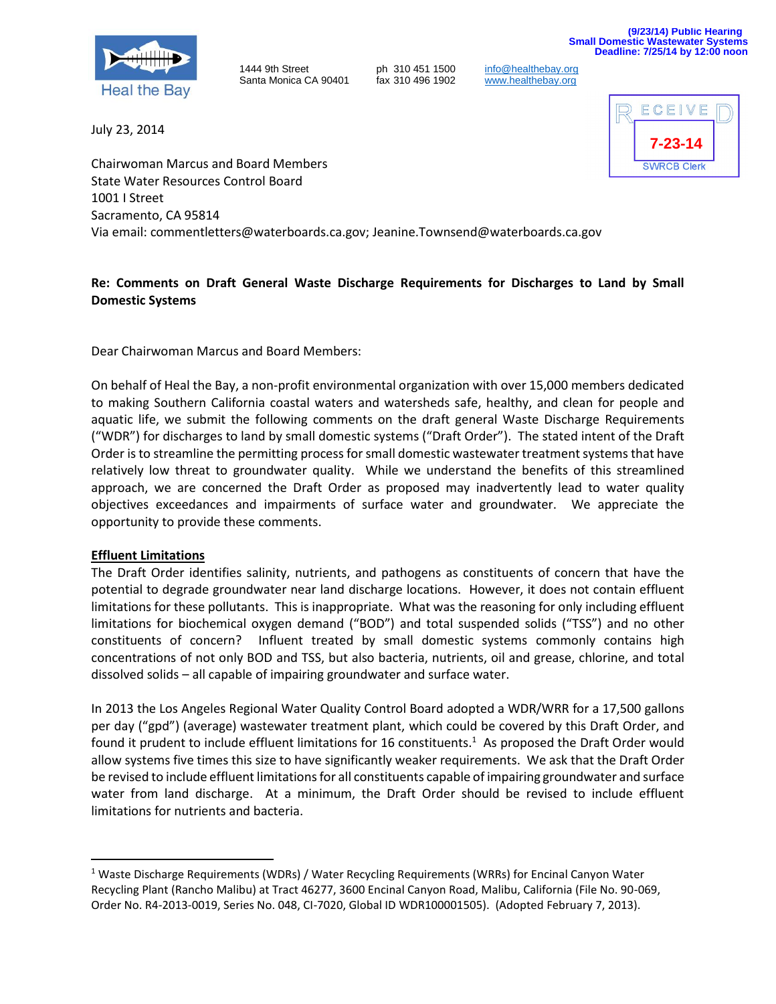



1444 9th Street **ph 310 451 1500** [info@healthebay.org](mailto:info@healthebay.org)<br>Santa Monica CA 90401 fax 310 496 1902 www.healthebay.org Santa Monica CA 90401 fax 310 496 1902 [www.healthebay.org](http://www.healthebay.org/)

July 23, 2014



Chairwoman Marcus and Board Members State Water Resources Control Board 1001 I Street Sacramento, CA 95814 Via email: commentletters@waterboards.ca.gov; Jeanine.Townsend@waterboards.ca.gov

# **Re: Comments on Draft General Waste Discharge Requirements for Discharges to Land by Small Domestic Systems**

Dear Chairwoman Marcus and Board Members:

On behalf of Heal the Bay, a non-profit environmental organization with over 15,000 members dedicated to making Southern California coastal waters and watersheds safe, healthy, and clean for people and aquatic life, we submit the following comments on the draft general Waste Discharge Requirements ("WDR") for discharges to land by small domestic systems ("Draft Order"). The stated intent of the Draft Order is to streamline the permitting process for small domestic wastewater treatment systems that have relatively low threat to groundwater quality. While we understand the benefits of this streamlined approach, we are concerned the Draft Order as proposed may inadvertently lead to water quality objectives exceedances and impairments of surface water and groundwater. We appreciate the opportunity to provide these comments.

## **Effluent Limitations**

 $\overline{\phantom{a}}$ 

The Draft Order identifies salinity, nutrients, and pathogens as constituents of concern that have the potential to degrade groundwater near land discharge locations. However, it does not contain effluent limitations for these pollutants. This is inappropriate. What was the reasoning for only including effluent limitations for biochemical oxygen demand ("BOD") and total suspended solids ("TSS") and no other constituents of concern? Influent treated by small domestic systems commonly contains high concentrations of not only BOD and TSS, but also bacteria, nutrients, oil and grease, chlorine, and total dissolved solids – all capable of impairing groundwater and surface water.

In 2013 the Los Angeles Regional Water Quality Control Board adopted a WDR/WRR for a 17,500 gallons per day ("gpd") (average) wastewater treatment plant, which could be covered by this Draft Order, and found it prudent to include effluent limitations for 16 constituents.<sup>1</sup> As proposed the Draft Order would allow systems five times this size to have significantly weaker requirements. We ask that the Draft Order be revised to include effluent limitations for all constituents capable of impairing groundwater and surface water from land discharge. At a minimum, the Draft Order should be revised to include effluent limitations for nutrients and bacteria.

<sup>&</sup>lt;sup>1</sup> Waste Discharge Requirements (WDRs) / Water Recycling Requirements (WRRs) for Encinal Canyon Water Recycling Plant (Rancho Malibu) at Tract 46277, 3600 Encinal Canyon Road, Malibu, California (File No. 90-069, Order No. R4-2013-0019, Series No. 048, CI-7020, Global ID WDR100001505). (Adopted February 7, 2013).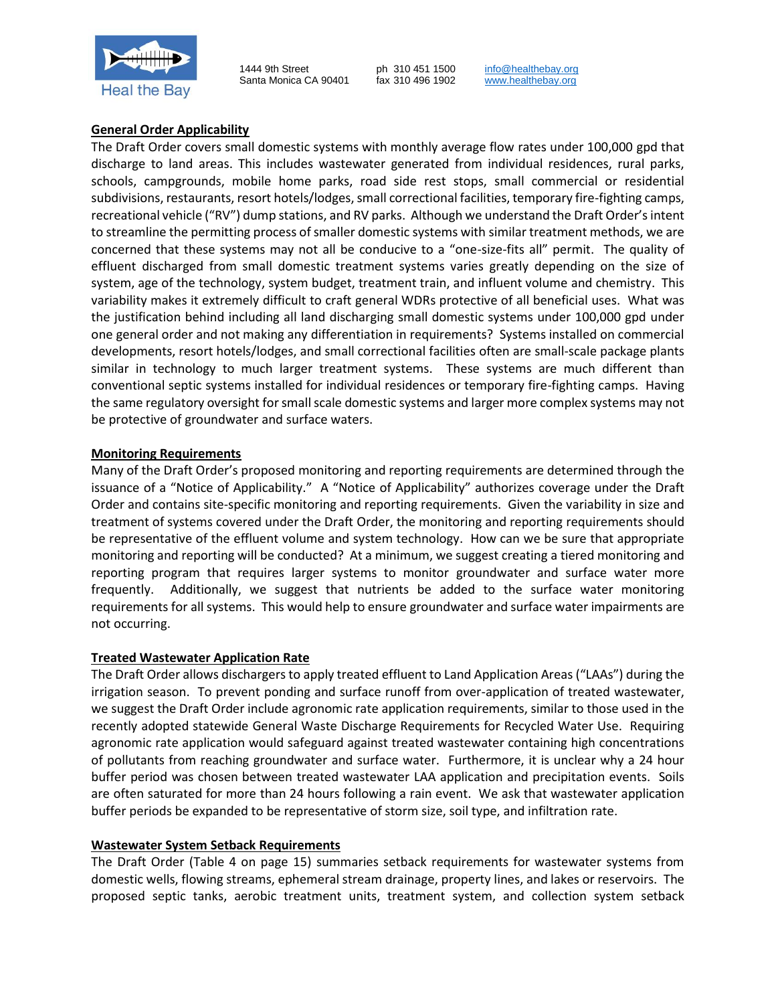

1444 9th Street ph 310 451 1500 [info@healthebay.org](mailto:info@healthebay.org)<br>
Santa Monica CA 90401 fax 310 496 1902 www.healthebay.org Santa Monica CA 90401 fax 310 496 1902 [www.healthebay.org](http://www.healthebay.org/)

## **General Order Applicability**

The Draft Order covers small domestic systems with monthly average flow rates under 100,000 gpd that discharge to land areas. This includes wastewater generated from individual residences, rural parks, schools, campgrounds, mobile home parks, road side rest stops, small commercial or residential subdivisions, restaurants, resort hotels/lodges, small correctional facilities, temporary fire-fighting camps, recreational vehicle ("RV") dump stations, and RV parks. Although we understand the Draft Order's intent to streamline the permitting process of smaller domestic systems with similar treatment methods, we are concerned that these systems may not all be conducive to a "one-size-fits all" permit. The quality of effluent discharged from small domestic treatment systems varies greatly depending on the size of system, age of the technology, system budget, treatment train, and influent volume and chemistry. This variability makes it extremely difficult to craft general WDRs protective of all beneficial uses. What was the justification behind including all land discharging small domestic systems under 100,000 gpd under one general order and not making any differentiation in requirements? Systems installed on commercial developments, resort hotels/lodges, and small correctional facilities often are small-scale package plants similar in technology to much larger treatment systems. These systems are much different than conventional septic systems installed for individual residences or temporary fire-fighting camps. Having the same regulatory oversight for small scale domestic systems and larger more complex systems may not be protective of groundwater and surface waters.

## **Monitoring Requirements**

Many of the Draft Order's proposed monitoring and reporting requirements are determined through the issuance of a "Notice of Applicability." A "Notice of Applicability" authorizes coverage under the Draft Order and contains site-specific monitoring and reporting requirements. Given the variability in size and treatment of systems covered under the Draft Order, the monitoring and reporting requirements should be representative of the effluent volume and system technology. How can we be sure that appropriate monitoring and reporting will be conducted? At a minimum, we suggest creating a tiered monitoring and reporting program that requires larger systems to monitor groundwater and surface water more frequently. Additionally, we suggest that nutrients be added to the surface water monitoring requirements for all systems. This would help to ensure groundwater and surface water impairments are not occurring.

## **Treated Wastewater Application Rate**

The Draft Order allows dischargers to apply treated effluent to Land Application Areas ("LAAs") during the irrigation season. To prevent ponding and surface runoff from over-application of treated wastewater, we suggest the Draft Order include agronomic rate application requirements, similar to those used in the recently adopted statewide General Waste Discharge Requirements for Recycled Water Use. Requiring agronomic rate application would safeguard against treated wastewater containing high concentrations of pollutants from reaching groundwater and surface water. Furthermore, it is unclear why a 24 hour buffer period was chosen between treated wastewater LAA application and precipitation events. Soils are often saturated for more than 24 hours following a rain event. We ask that wastewater application buffer periods be expanded to be representative of storm size, soil type, and infiltration rate.

## **Wastewater System Setback Requirements**

The Draft Order (Table 4 on page 15) summaries setback requirements for wastewater systems from domestic wells, flowing streams, ephemeral stream drainage, property lines, and lakes or reservoirs. The proposed septic tanks, aerobic treatment units, treatment system, and collection system setback